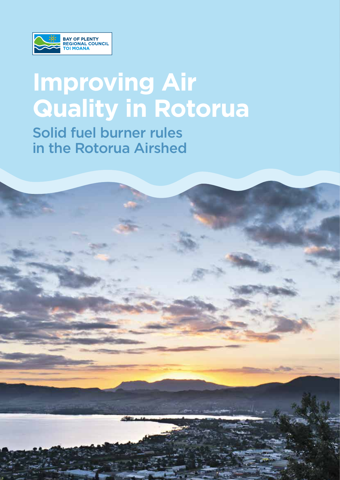

# **Improving Air Quality in Rotorua**

Solid fuel burner rules in the Rotorua Airshed

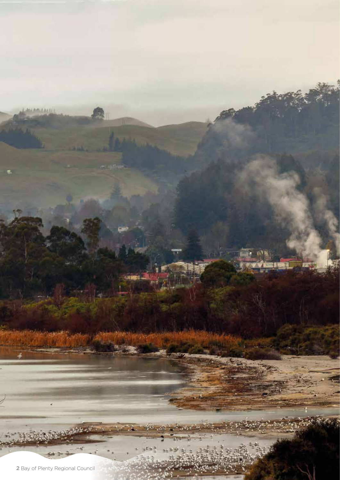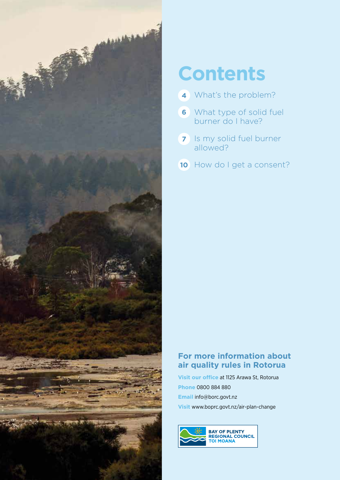

## **Contents**

- What's the problem? **4**
- What type of solid fuel **6** burner do I have?
- **7** Is my solid fuel burner allowed?
- 10 How do I get a consent?

## **For more information about air quality rules in Rotorua**

**Visit our office** at 1125 Arawa St, Rotorua **Phone** 0800 884 880 **Email** info@borc.govt.nz **Visit** www.boprc.govt.nz/air-plan-change

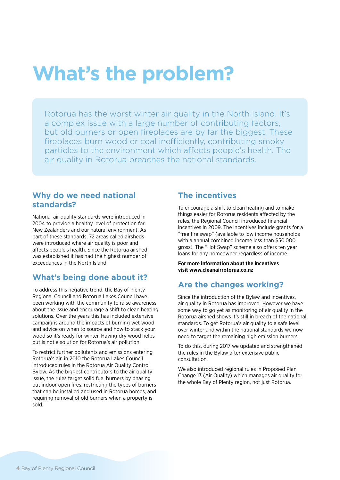## **What's the problem?**

Rotorua has the worst winter air quality in the North Island. It's a complex issue with a large number of contributing factors, but old burners or open fireplaces are by far the biggest. These fireplaces burn wood or coal inefficiently, contributing smoky particles to the environment which affects people's health. The air quality in Rotorua breaches the national standards.

## **Why do we need national standards?**

National air quality standards were introduced in 2004 to provide a healthy level of protection for New Zealanders and our natural environment. As part of these standards, 72 areas called airsheds were introduced where air quality is poor and affects people's health. Since the Rotorua airshed was established it has had the highest number of exceedances in the North Island.

## **What's being done about it?**

To address this negative trend, the Bay of Plenty Regional Council and Rotorua Lakes Council have been working with the community to raise awareness about the issue and encourage a shift to clean heating solutions. Over the years this has included extensive campaigns around the impacts of burning wet wood and advice on when to source and how to stack your wood so it's ready for winter. Having dry wood helps but is not a solution for Rotorua's air pollution.

To restrict further pollutants and emissions entering Rotorua's air, in 2010 the Rotorua Lakes Council introduced rules in the Rotorua Air Quality Control Bylaw. As the biggest contributors to the air quality issue, the rules target solid fuel burners by phasing out indoor open fires, restricting the types of burners that can be installed and used in Rotorua homes, and requiring removal of old burners when a property is sold.

## **The incentives**

To encourage a shift to clean heating and to make things easier for Rotorua residents affected by the rules, the Regional Council introduced financial incentives in 2009. The incentives include grants for a "free fire swap" (available to low income households with a annual combined income less than \$50,000 gross). The "Hot Swap" scheme also offers ten year loans for any homeowner regardless of income.

#### **For more information about the incentives visit www.cleanairrotorua.co.nz**

## **Are the changes working?**

Since the introduction of the Bylaw and incentives, air quality in Rotorua has improved. However we have some way to go yet as monitoring of air quality in the Rotorua airshed shows it's still in breach of the national standards. To get Rotorua's air quality to a safe level over winter and within the national standards we now need to target the remaining high emission burners.

To do this, during 2017 we updated and strengthened the rules in the Bylaw after extensive public consultation.

We also introduced regional rules in Proposed Plan Change 13 (Air Quality) which manages air quality for the whole Bay of Plenty region, not just Rotorua.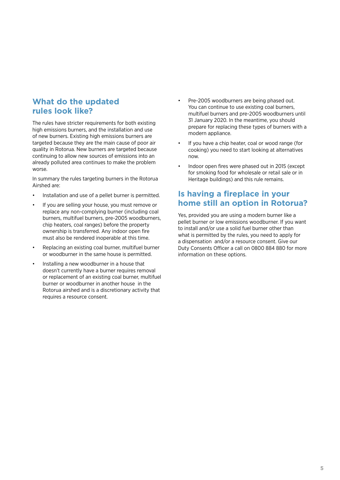## **What do the updated rules look like?**

The rules have stricter requirements for both existing high emissions burners, and the installation and use of new burners. Existing high emissions burners are targeted because they are the main cause of poor air quality in Rotorua. New burners are targeted because continuing to allow new sources of emissions into an already polluted area continues to make the problem worse.

In summary the rules targeting burners in the Rotorua Airshed are:

- Installation and use of a pellet burner is permitted.
- If you are selling your house, you must remove or replace any non-complying burner (including coal burners, multifuel burners, pre-2005 woodburners, chip heaters, coal ranges) before the property ownership is transferred. Any indoor open fire must also be rendered inoperable at this time.
- Replacing an existing coal burner, multifuel burner or woodburner in the same house is permitted.
- Installing a new woodburner in a house that doesn't currently have a burner requires removal or replacement of an existing coal burner, multifuel burner or woodburner in another house in the Rotorua airshed and is a discretionary activity that requires a resource consent.
- Pre-2005 woodburners are being phased out. You can continue to use existing coal burners, multifuel burners and pre-2005 woodburners until 31 January 2020. In the meantime, you should prepare for replacing these types of burners with a modern appliance.
- If you have a chip heater, coal or wood range (for cooking) you need to start looking at alternatives now.
- Indoor open fires were phased out in 2015 (except for smoking food for wholesale or retail sale or in Heritage buildings) and this rule remains.

## **Is having a fireplace in your home still an option in Rotorua?**

Yes, provided you are using a modern burner like a pellet burner or low emissions woodburner. If you want to install and/or use a solid fuel burner other than what is permitted by the rules, you need to apply for a dispensation and/or a resource consent. Give our Duty Consents Officer a call on 0800 884 880 for more information on these options.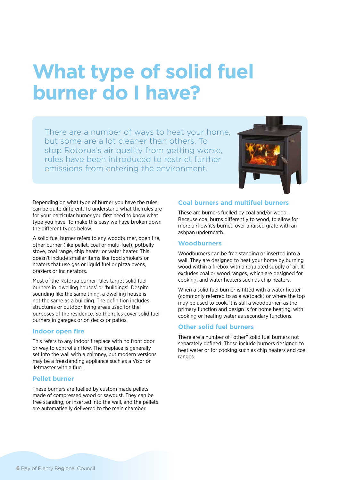## **What type of solid fuel burner do I have?**

There are a number of ways to heat your home, but some are a lot cleaner than others. To stop Rotorua's air quality from getting worse, rules have been introduced to restrict further emissions from entering the environment.



Depending on what type of burner you have the rules can be quite different. To understand what the rules are for your particular burner you first need to know what type you have. To make this easy we have broken down the different types below.

A solid fuel burner refers to any woodburner, open fire, other burner (like pellet, coal or multi-fuel), potbelly stove, coal range, chip heater or water heater. This doesn't include smaller items like food smokers or heaters that use gas or liquid fuel or pizza ovens, braziers or incinerators.

Most of the Rotorua burner rules target solid fuel burners in 'dwelling houses' or 'buildings'. Despite sounding like the same thing, a dwelling house is not the same as a building. The definition includes structures or outdoor living areas used for the purposes of the residence. So the rules cover solid fuel burners in garages or on decks or patios.

#### **Indoor open fire**

This refers to any indoor fireplace with no front door or way to control air flow. The fireplace is generally set into the wall with a chimney, but modern versions may be a freestanding appliance such as a Visor or Jetmaster with a flue.

#### **Pellet burner**

These burners are fuelled by custom made pellets made of compressed wood or sawdust. They can be free standing, or inserted into the wall, and the pellets are automatically delivered to the main chamber.

### **Coal burners and multifuel burners**

These are burners fuelled by coal and/or wood. Because coal burns differently to wood, to allow for more airflow it's burned over a raised grate with an ashpan underneath.

#### **Woodburners**

Woodburners can be free standing or inserted into a wall. They are designed to heat your home by burning wood within a firebox with a regulated supply of air. It excludes coal or wood ranges, which are designed for cooking, and water heaters such as chip heaters.

When a solid fuel burner is fitted with a water heater (commonly referred to as a wetback) or where the top may be used to cook, it is still a woodburner, as the primary function and design is for home heating, with cooking or heating water as secondary functions.

#### **Other solid fuel burners**

There are a number of "other" solid fuel burners not separately defined. These include burners designed to heat water or for cooking such as chip heaters and coal ranges.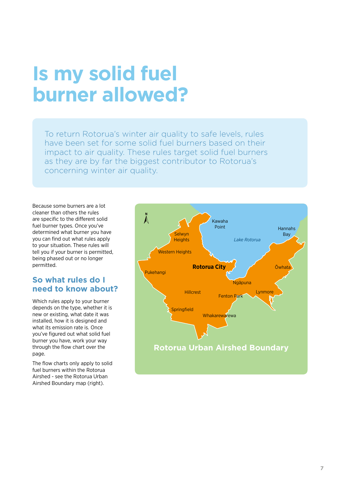## **Is my solid fuel burner allowed?**

To return Rotorua's winter air quality to safe levels, rules have been set for some solid fuel burners based on their impact to air quality. These rules target solid fuel burners as they are by far the biggest contributor to Rotorua's concerning winter air quality.

Because some burners are a lot cleaner than others the rules are specific to the different solid fuel burner types. Once you've determined what burner you have you can find out what rules apply to your situation. These rules will tell you if your burner is permitted, being phased out or no longer permitted.

## **So what rules do I need to know about?**

Which rules apply to your burner depends on the type, whether it is new or existing, what date it was installed, how it is designed and what its emission rate is. Once you've figured out what solid fuel burner you have, work your way through the flow chart over the page.

The flow charts only apply to solid fuel burners within the Rotorua Airshed - see the Rotorua Urban Airshed Boundary map (right).

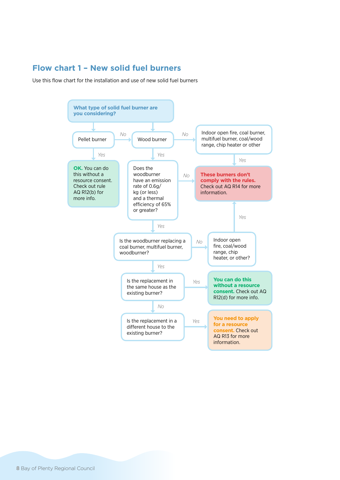## **Flow chart 1 – New solid fuel burners**

Use this flow chart for the installation and use of new solid fuel burners

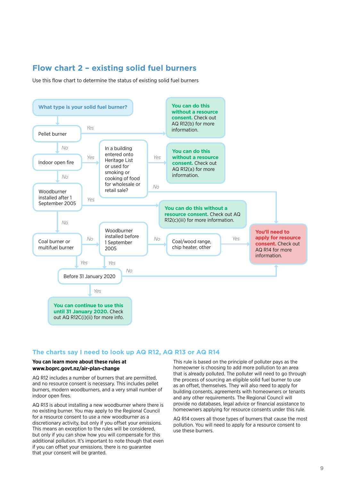## **Flow chart 2 – existing solid fuel burners**

Use this flow chart to determine the status of existing solid fuel burners



## **The charts say I need to look up AQ R12, AQ R13 or AQ R14**

#### **You can learn more about these rules at www.boprc.govt.nz/air-plan-change**

AQ R12 includes a number of burners that are permitted, and no resource consent is necessary. This includes pellet burners, modern woodburners, and a very small number of indoor open fires.

AQ R13 is about installing a new woodburner where there is no existing burner. You may apply to the Regional Council for a resource consent to use a new woodburner as a discretionary activity, but only if you offset your emissions. This means an exception to the rules will be considered, but only if you can show how you will compensate for this additional pollution. It's important to note though that even if you can offset your emissions, there is no guarantee that your consent will be granted.

This rule is based on the principle of polluter pays as the homeowner is choosing to add more pollution to an area that is already polluted. The polluter will need to go through the process of sourcing an eligible solid fuel burner to use as an offset, themselves. They will also need to apply for building consents, agreements with homeowners or tenants and any other requirements. The Regional Council will provide no databases, legal advice or financial assistance to homeowners applying for resource consents under this rule.

AQ R14 covers all those types of burners that cause the most pollution. You will need to apply for a resource consent to use these burners.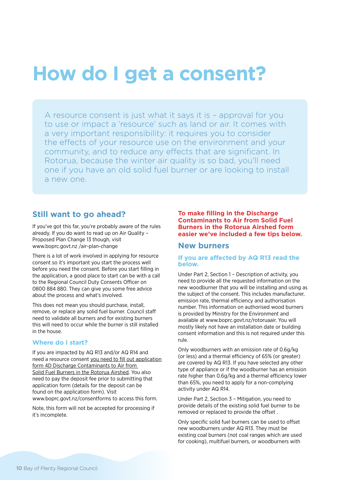## **How do I get a consent?**

A resource consent is just what it says it is – approval for you to use or impact a 'resource' such as land or air. It comes with a very important responsibility: it requires you to consider the effects of your resource use on the environment and your community, and to reduce any effects that are significant. In Rotorua, because the winter air quality is so bad, you'll need one if you have an old solid fuel burner or are looking to install a new one.

## **Still want to go ahead?**

If you've got this far, you're probably aware of the rules already. If you do want to read up on Air Quality – Proposed Plan Change 13 though, visit www.boprc.govt.nz /air-plan-change

There is a lot of work involved in applying for resource consent so it's important you start the process well before you need the consent. Before you start filling in the application, a good place to start can be with a call to the Regional Council Duty Consents Officer on 0800 884 880. They can give you some free advice about the process and what's involved.

This does not mean you should purchase, install, remove, or replace any solid fuel burner. Council staff need to validate all burners and for existing burners this will need to occur while the burner is still installed in the house.

### **Where do I start?**

If you are impacted by AQ R13 and/or AQ R14 and need a resource consent you need to fill out application form 4D Discharge Contaminants to Air from Solid Fuel Burners in the Rotorua Airshed. You also need to pay the deposit fee prior to submitting that application form (details for the deposit can be found on the application form). Visit www.boprc.govt.nz/consentforms to access this form.

Note, this form will not be accepted for processing if it's incomplete.

### **To make filling in the Discharge Contaminants to Air from Solid Fuel Burners in the Rotorua Airshed form easier we've included a few tips below.**

## **New burners**

#### **If you are affected by AQ R13 read the below.**

Under Part 2, Section 1 – Description of activity, you need to provide all the requested information on the new woodburner that you will be installing and using as the subject of the consent. This includes manufacturer, emission rate, thermal efficiency and authorisation number. This information on authorised wood burners is provided by Ministry for the Environment and available at www.boprc.govt.nz/rotoruaair. You will mostly likely not have an installation date or building consent information and this is not required under this rule.

Only woodburners with an emission rate of 0.6g/kg (or less) and a thermal efficiency of 65% (or greater) are covered by AQ R13. If you have selected any other type of appliance or if the woodburner has an emission rate higher than 0.6g/kg and a thermal efficiency lower than 65%, you need to apply for a non-complying activity under AQ R14.

Under Part 2, Section 3 – Mitigation, you need to provide details of the existing solid fuel burner to be removed or replaced to provide the offset .

Only specific solid fuel burners can be used to offset new woodburners under AQ R13. They must be existing coal burners (not coal ranges which are used for cooking), multifuel burners, or woodburners with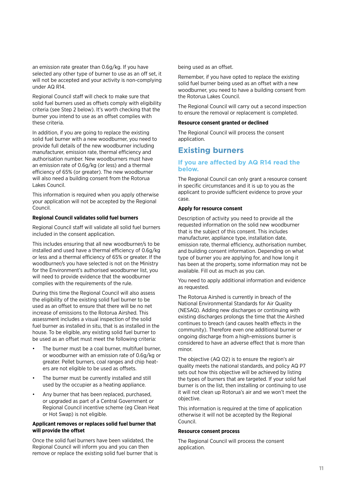an emission rate greater than 0.6g/kg. If you have selected any other type of burner to use as an off set, it will not be accepted and your activity is non-complying under AQ R14.

Regional Council staff will check to make sure that solid fuel burners used as offsets comply with eligibility criteria (see Step 2 below). It's worth checking that the burner you intend to use as an offset complies with these criteria.

In addition, if you are going to replace the existing solid fuel burner with a new woodburner, you need to provide full details of the new woodburner including manufacturer, emission rate, thermal efficiency and authorisation number. New woodburners must have an emission rate of 0.6g/kg (or less) and a thermal efficiency of 65% (or greater). The new woodburner will also need a building consent from the Rotorua Lakes Council.

This information is required when you apply otherwise your application will not be accepted by the Regional Council.

#### **Regional Council validates solid fuel burners**

Regional Council staff will validate all solid fuel burners included in the consent application.

This includes ensuring that all new woodburner/s to be installed and used have a thermal efficiency of 0.6g/kg or less and a thermal efficiency of 65% or greater. If the woodburner/s you have selected is not on the Ministry for the Environment's authorised woodburner list, you will need to provide evidence that the woodburner complies with the requirements of the rule.

During this time the Regional Council will also assess the eligibility of the existing solid fuel burner to be used as an offset to ensure that there will be no net increase of emissions to the Rotorua Airshed. This assessment includes a visual inspection of the solid fuel burner as installed in situ, that is as installed in the house. To be eligible, any existing solid fuel burner to be used as an offset must meet the following criteria:

- The burner must be a coal burner, multifuel burner, or woodburner with an emission rate of 0.6g/kg or greater. Pellet burners, coal ranges and chip heaters are not eligible to be used as offsets.
- The burner must be currently installed and still used by the occupier as a heating appliance.
- Any burner that has been replaced, purchased, or upgraded as part of a Central Government or Regional Council incentive scheme (eg Clean Heat or Hot Swap) is not eligible.

#### **Applicant removes or replaces solid fuel burner that will provide the offset**

Once the solid fuel burners have been validated, the Regional Council will inform you and you can then remove or replace the existing solid fuel burner that is being used as an offset.

Remember, if you have opted to replace the existing solid fuel burner being used as an offset with a new woodburner, you need to have a building consent from the Rotorua Lakes Council.

The Regional Council will carry out a second inspection to ensure the removal or replacement is completed.

#### **Resource consent granted or declined**

The Regional Council will process the consent application.

## **Existing burners**

### **If you are affected by AQ R14 read the below.**

The Regional Council can only grant a resource consent in specific circumstances and it is up to you as the applicant to provide sufficient evidence to prove your case.

#### **Apply for resource consent**

Description of activity you need to provide all the requested information on the solid new woodburner that is the subject of this consent. This includes manufacturer, appliance type, installation date, emission rate, thermal efficiency, authorisation number, and building consent information. Depending on what type of burner you are applying for, and how long it has been at the property, some information may not be available. Fill out as much as you can.

You need to apply additional information and evidence as requested.

The Rotorua Airshed is currently in breach of the National Environmental Standards for Air Quality (NESAQ). Adding new discharges or continuing with existing discharges prolongs the time that the Airshed continues to breach (and causes health effects in the community). Therefore even one additional burner or ongoing discharge from a high-emissions burner is considered to have an adverse effect that is more than minor.

The objective (AQ O2) is to ensure the region's air quality meets the national standards, and policy AQ P7 sets out how this objective will be achieved by listing the types of burners that are targeted. If your solid fuel burner is on the list, then installing or continuing to use it will not clean up Rotorua's air and we won't meet the objective.

This information is required at the time of application otherwise it will not be accepted by the Regional Council.

#### **Resource consent process**

The Regional Council will process the consent application.